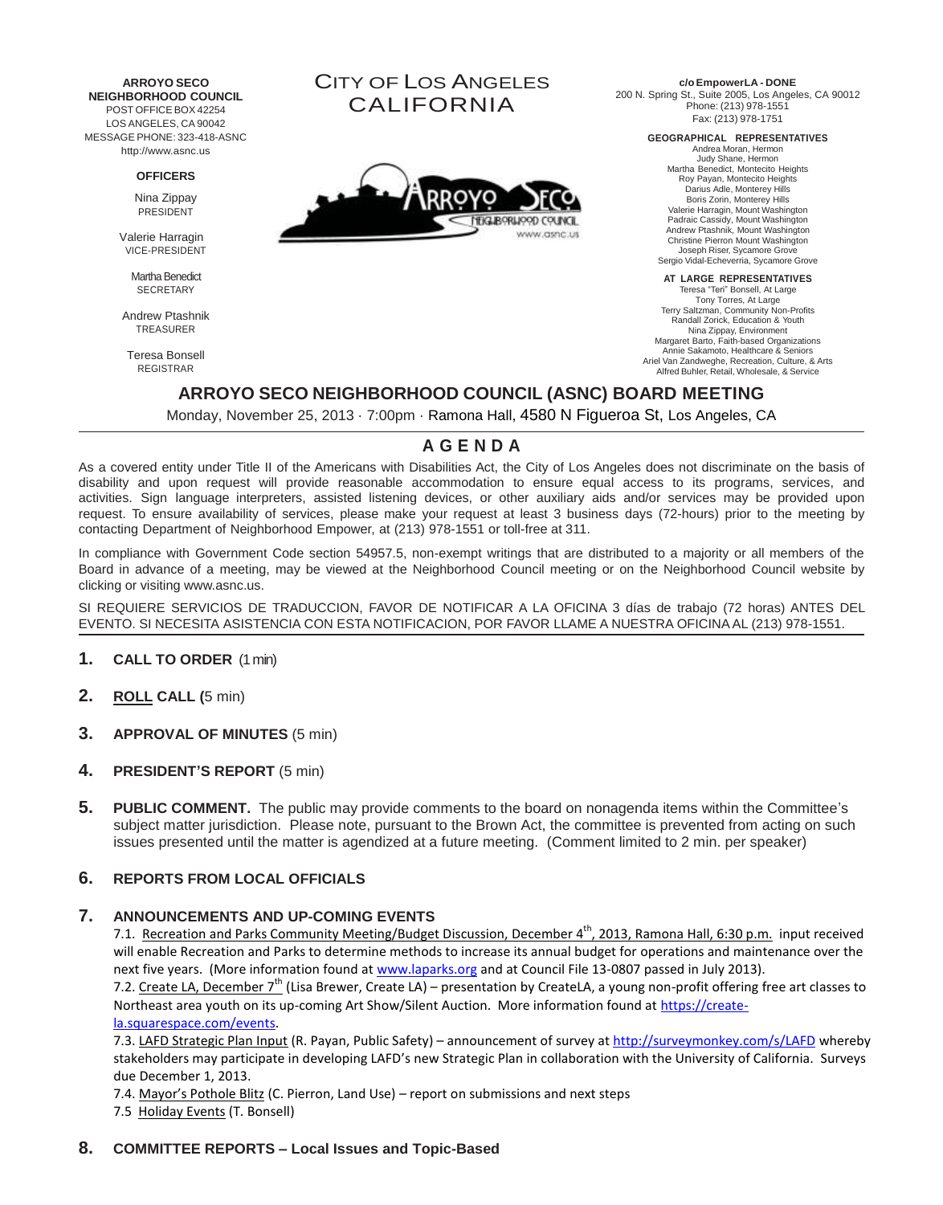**ARROYO SECO NEIGHBORHOOD COUNCIL** POST OFFICE BOX 42254 LOS ANGELES, CA 90042 MESSAGE PHONE: 323-418-ASNC [http://www.asnc.us](http://www.asnc.us/)

#### **OFFICERS**

Nina Zippay PRESIDENT

Valerie Harragin VICE-PRESIDENT

> Martha Benedict **SECRETARY**

Andrew Ptashnik TREASURER

Teresa Bonsell REGISTRAR

CITY OF LOS ANGELES CALIFORNIA



**c/oEmpowerLA - DONE**

200 N. Spring St., Suite 2005, Los Angeles, CA 90012 Phone: (213) 978-1551 Fax: (213) 978-1751

**GEOGRAPHICAL REPRESENTATIVES**

Andrea Moran, Hermon Judy Shane, Hermon Martha Benedict, Montecito Heights Roy Payan, Montecito Heights Darius Adle, Monterey Hills Boris Zorin, Monterey Hills Valerie Harragin, Mount Washington Padraic Cassidy, Mount Washington Andrew Ptashnik, Mount Washington Christine Pierron Mount Washington Joseph Riser, Sycamore Grove Sergio Vidal-Echeverria, Sycamore Grove

**AT LARGE REPRESENTATIVES**

Teresa "Teri" Bonsell, At Large Tony Torres, At Large Terry Saltzman, Community Non-Profits Randall Zorick, Education & Youth Nina Zippay, Environment Margaret Barto, Faith-based Organizations Annie Sakamoto, Healthcare & Seniors Ariel Van Zandweghe, Recreation, Culture, & Arts Alfred Buhler, Retail, Wholesale, & Service

## **ARROYO SECO NEIGHBORHOOD COUNCIL (ASNC) BOARD MEETING**

Monday, November 25, 2013 · 7:00pm · Ramona Hall, 4580 N Figueroa St, Los Angeles, CA

## **A G E N D A**

As a covered entity under Title II of the Americans with Disabilities Act, the City of Los Angeles does not discriminate on the basis of disability and upon request will provide reasonable accommodation to ensure equal access to its programs, services, and activities. Sign language interpreters, assisted listening devices, or other auxiliary aids and/or services may be provided upon request. To ensure availability of services, please make your request at least 3 business days (72-hours) prior to the meeting by contacting Department of Neighborhood Empower, at (213) 978-1551 or toll-free at 311.

In compliance with Government Code section 54957.5, non-exempt writings that are distributed to a majority or all members of the Board in advance of a meeting, may be viewed at the Neighborhood Council meeting or on the Neighborhood [Council website by](http://www.asnc.us/)  [clicking or visiting www.asnc.us.](http://www.asnc.us/)

SI REQUIERE SERVICIOS DE TRADUCCION, FAVOR DE NOTIFICAR A LA OFICINA 3 días de trabajo (72 horas) ANTES DEL EVENTO. SI NECESITA ASISTENCIA CON ESTA NOTIFICACION, POR FAVOR LLAME A NUESTRA OFICINA AL (213) 978-1551.

#### **1. CALL TO ORDER** (1 min)

- **2. ROLL CALL (**5 min)
- **3. APPROVAL OF MINUTES** (5 min)
- **4. PRESIDENT'S REPORT** (5 min)
- **5.** PUBLIC COMMENT. The public may provide comments to the board on nonagenda items within the Committee's subject matter jurisdiction. Please note, pursuant to the Brown Act, the committee is prevented from acting on such issues presented until the matter is agendized at a future meeting. (Comment limited to 2 min. per speaker)

## **6. REPORTS FROM LOCAL OFFICIALS**

#### **7. ANNOUNCEMENTS AND UP-COMING EVENTS**

7.1. Recreation and Parks Community Meeting/Budget Discussion, December 4<sup>th</sup>, 2013, Ramona Hall, 6:30 p.m. input received will enable Recreation and Parks to determine methods to increase its annual budget for operations and maintenance over the next five years. (More information found at [www.laparks.org](http://www.laparks.org/) and at Council File 13-0807 passed in July 2013).

7.2. Create LA, December 7<sup>th</sup> (Lisa Brewer, Create LA) – presentation by CreateLA, a young non-profit offering free art classes to Northeast area youth on its up-coming Art Show/Silent Auction. More information found at [https://create](https://create-la.squarespace.com/events)[la.squarespace.com/events.](https://create-la.squarespace.com/events) 

7.3. LAFD Strategic Plan Input (R. Payan, Public Safety) – announcement of survey a[t http://surveymonkey.com/s/LAFD](http://surveymonkey.com/s/LAFD) whereby stakeholders may participate in developing LAFD's new Strategic Plan in collaboration with the University of California. Surveys due December 1, 2013.

7.4. Mayor's Pothole Blitz (C. Pierron, Land Use) – report on submissions and next steps 7.5 Holiday Events (T. Bonsell)

## **8. COMMITTEE REPORTS – Local Issues and Topic-Based**